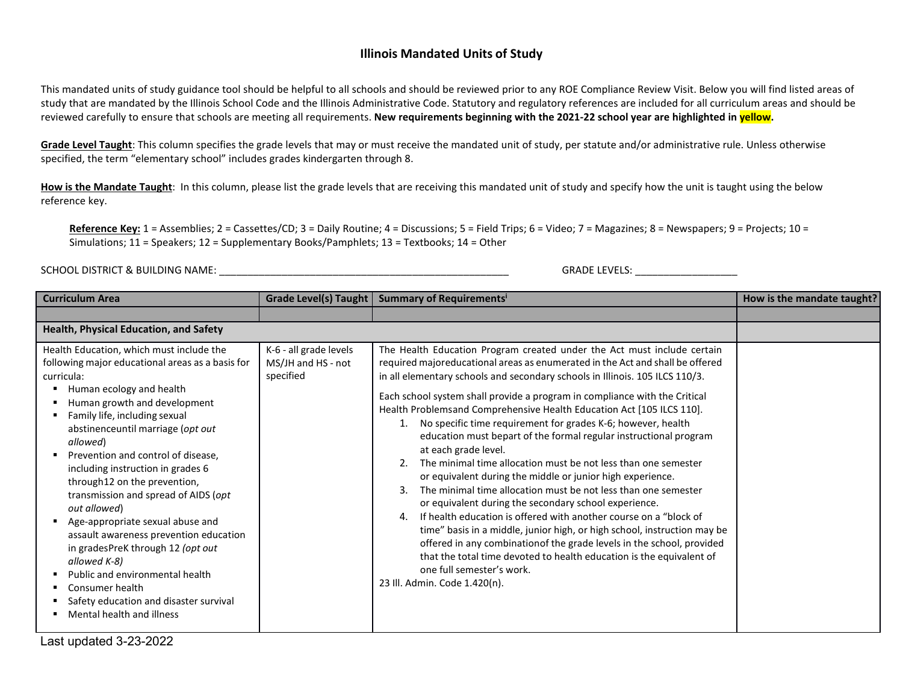## **Illinois Mandated Units of Study**

This mandated units of study guidance tool should be helpful to all schools and should be reviewed prior to any ROE Compliance Review Visit. Below you will find listed areas of study that are mandated by the Illinois School Code and the Illinois Administrative Code. Statutory and regulatory references are included for all curriculum areas and should be reviewed carefully to ensure that schools are meeting all requirements. **New requirements beginning with the 2021-22 school year are highlighted in yellow.**

Grade Level Taught: This column specifies the grade levels that may or must receive the mandated unit of study, per statute and/or administrative rule. Unless otherwise specified, the term "elementary school" includes grades kindergarten through 8.

How is the Mandate Taught: In this column, please list the grade levels that are receiving this mandated unit of study and specify how the unit is taught using the below reference key.

Reference Key: 1 = Assemblies; 2 = Cassettes/CD; 3 = Daily Routine; 4 = Discussions; 5 = Field Trips; 6 = Video; 7 = Magazines; 8 = Newspapers; 9 = Projects; 10 = Simulations; 11 = Speakers; 12 = Supplementary Books/Pamphlets; 13 = Textbooks; 14 = Other

SCHOOL DISTRICT & BUILDING NAME: \_\_\_\_\_\_\_\_\_\_\_\_\_\_\_\_\_\_\_\_\_\_\_\_\_\_\_\_\_\_\_\_\_\_\_\_\_\_\_\_\_\_\_\_\_\_\_\_\_\_\_ GRADE LEVELS: \_\_\_\_\_\_\_\_\_\_\_\_\_\_\_\_\_\_

| <b>Curriculum Area</b>                                                                                                                                                                                                                                                                                                                                                                                                                                                                                                                                                                                                                                                                                | Grade Level(s) Taught                                     | Summary of Requirements <sup>i</sup>                                                                                                                                                                                                                                                                                                                                                                                                                                                                                                                                                                                                                                                                                                                                                                                                                                                                                                                                                                                                                                                                                                                                                                     | How is the mandate taught? |
|-------------------------------------------------------------------------------------------------------------------------------------------------------------------------------------------------------------------------------------------------------------------------------------------------------------------------------------------------------------------------------------------------------------------------------------------------------------------------------------------------------------------------------------------------------------------------------------------------------------------------------------------------------------------------------------------------------|-----------------------------------------------------------|----------------------------------------------------------------------------------------------------------------------------------------------------------------------------------------------------------------------------------------------------------------------------------------------------------------------------------------------------------------------------------------------------------------------------------------------------------------------------------------------------------------------------------------------------------------------------------------------------------------------------------------------------------------------------------------------------------------------------------------------------------------------------------------------------------------------------------------------------------------------------------------------------------------------------------------------------------------------------------------------------------------------------------------------------------------------------------------------------------------------------------------------------------------------------------------------------------|----------------------------|
|                                                                                                                                                                                                                                                                                                                                                                                                                                                                                                                                                                                                                                                                                                       |                                                           |                                                                                                                                                                                                                                                                                                                                                                                                                                                                                                                                                                                                                                                                                                                                                                                                                                                                                                                                                                                                                                                                                                                                                                                                          |                            |
| Health, Physical Education, and Safety                                                                                                                                                                                                                                                                                                                                                                                                                                                                                                                                                                                                                                                                |                                                           |                                                                                                                                                                                                                                                                                                                                                                                                                                                                                                                                                                                                                                                                                                                                                                                                                                                                                                                                                                                                                                                                                                                                                                                                          |                            |
| Health Education, which must include the<br>following major educational areas as a basis for<br>curricula:<br>Human ecology and health<br>٠<br>Human growth and development<br>Family life, including sexual<br>abstinenceuntil marriage (opt out<br>allowed)<br>Prevention and control of disease.<br>including instruction in grades 6<br>through12 on the prevention,<br>transmission and spread of AIDS (opt<br>out allowed)<br>Age-appropriate sexual abuse and<br>assault awareness prevention education<br>in gradesPreK through 12 (opt out<br>allowed K-8)<br>Public and environmental health<br>٠<br>Consumer health<br>Safety education and disaster survival<br>Mental health and illness | K-6 - all grade levels<br>MS/JH and HS - not<br>specified | The Health Education Program created under the Act must include certain<br>required majoreducational areas as enumerated in the Act and shall be offered<br>in all elementary schools and secondary schools in Illinois. 105 ILCS 110/3.<br>Each school system shall provide a program in compliance with the Critical<br>Health Problemsand Comprehensive Health Education Act [105 ILCS 110].<br>No specific time requirement for grades K-6; however, health<br>1.<br>education must bepart of the formal regular instructional program<br>at each grade level.<br>The minimal time allocation must be not less than one semester<br>or equivalent during the middle or junior high experience.<br>The minimal time allocation must be not less than one semester<br>3.<br>or equivalent during the secondary school experience.<br>If health education is offered with another course on a "block of<br>4<br>time" basis in a middle, junior high, or high school, instruction may be<br>offered in any combinationof the grade levels in the school, provided<br>that the total time devoted to health education is the equivalent of<br>one full semester's work.<br>23 Ill. Admin. Code 1.420(n). |                            |

Last updated 3-23-2022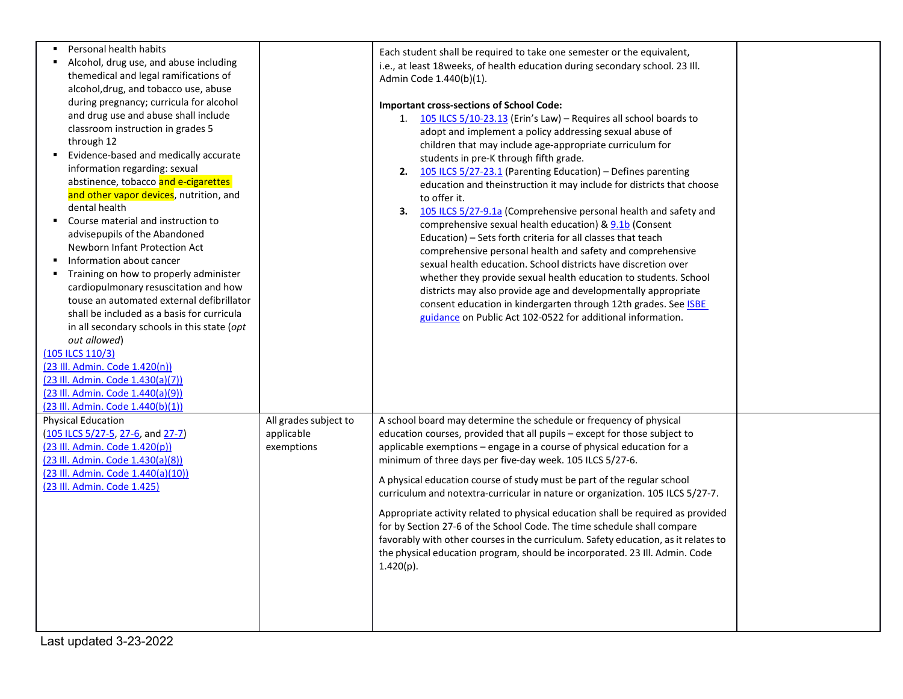| Personal health habits<br>Alcohol, drug use, and abuse including<br>themedical and legal ramifications of<br>alcohol, drug, and tobacco use, abuse<br>during pregnancy; curricula for alcohol<br>and drug use and abuse shall include<br>classroom instruction in grades 5<br>through 12<br>Evidence-based and medically accurate<br>information regarding: sexual<br>abstinence, tobacco and e-cigarettes<br>and other vapor devices, nutrition, and<br>dental health<br>Course material and instruction to<br>advisepupils of the Abandoned<br>Newborn Infant Protection Act |                                                   | Each student shall be required to take one semester or the equivalent,<br>i.e., at least 18 weeks, of health education during secondary school. 23 Ill.<br>Admin Code 1.440(b)(1).<br><b>Important cross-sections of School Code:</b><br>1. $105$ ILCS 5/10-23.13 (Erin's Law) – Requires all school boards to<br>adopt and implement a policy addressing sexual abuse of<br>children that may include age-appropriate curriculum for<br>students in pre-K through fifth grade.<br>2. 105 ILCS 5/27-23.1 (Parenting Education) - Defines parenting<br>education and theinstruction it may include for districts that choose<br>to offer it.<br>105 ILCS 5/27-9.1a (Comprehensive personal health and safety and<br>3.<br>comprehensive sexual health education) & 9.1b (Consent<br>Education) – Sets forth criteria for all classes that teach |  |
|--------------------------------------------------------------------------------------------------------------------------------------------------------------------------------------------------------------------------------------------------------------------------------------------------------------------------------------------------------------------------------------------------------------------------------------------------------------------------------------------------------------------------------------------------------------------------------|---------------------------------------------------|------------------------------------------------------------------------------------------------------------------------------------------------------------------------------------------------------------------------------------------------------------------------------------------------------------------------------------------------------------------------------------------------------------------------------------------------------------------------------------------------------------------------------------------------------------------------------------------------------------------------------------------------------------------------------------------------------------------------------------------------------------------------------------------------------------------------------------------------|--|
| Information about cancer<br>Training on how to properly administer<br>cardiopulmonary resuscitation and how<br>touse an automated external defibrillator<br>shall be included as a basis for curricula<br>in all secondary schools in this state (opt<br>out allowed)<br>(105 ILCS 110/3)<br>(23 III. Admin. Code 1.420(n))<br>(23 III. Admin. Code 1.430(a)(7))<br>(23 Ill. Admin. Code 1.440(a)(9))<br>(23 Ill. Admin. Code 1.440(b)(1))                                                                                                                                     |                                                   | comprehensive personal health and safety and comprehensive<br>sexual health education. School districts have discretion over<br>whether they provide sexual health education to students. School<br>districts may also provide age and developmentally appropriate<br>consent education in kindergarten through 12th grades. See <b>ISBE</b><br>guidance on Public Act 102-0522 for additional information.                                                                                                                                                                                                                                                                                                                                                                                                                                    |  |
| <b>Physical Education</b><br>(105 ILCS 5/27-5, 27-6, and 27-7)<br>(23 III. Admin. Code 1.420(p))<br>(23 III. Admin. Code 1.430(a)(8))<br>(23 III. Admin. Code 1.440(a)(10))<br>(23 Ill. Admin. Code 1.425)                                                                                                                                                                                                                                                                                                                                                                     | All grades subject to<br>applicable<br>exemptions | A school board may determine the schedule or frequency of physical<br>education courses, provided that all pupils - except for those subject to<br>applicable exemptions - engage in a course of physical education for a<br>minimum of three days per five-day week. 105 ILCS 5/27-6.<br>A physical education course of study must be part of the regular school<br>curriculum and notextra-curricular in nature or organization. 105 ILCS 5/27-7.<br>Appropriate activity related to physical education shall be required as provided<br>for by Section 27-6 of the School Code. The time schedule shall compare<br>favorably with other courses in the curriculum. Safety education, as it relates to<br>the physical education program, should be incorporated. 23 Ill. Admin. Code<br>1.420(p).                                           |  |

Last updated 3-23-2022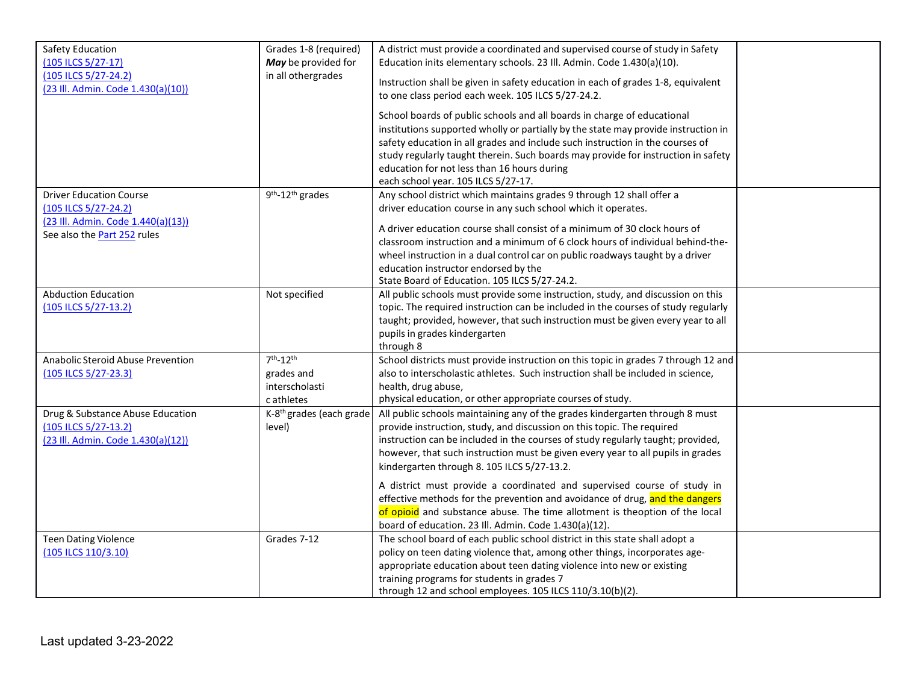<span id="page-2-1"></span><span id="page-2-0"></span>

| Safety Education<br>(105 ILCS 5/27-17)<br>(105 ILCS 5/27-24.2)<br>(23 III. Admin. Code 1.430(a)(10))                        | Grades 1-8 (required)<br>May be provided for<br>in all othergrades | A district must provide a coordinated and supervised course of study in Safety<br>Education inits elementary schools. 23 Ill. Admin. Code 1.430(a)(10).<br>Instruction shall be given in safety education in each of grades 1-8, equivalent<br>to one class period each week. 105 ILCS 5/27-24.2.<br>School boards of public schools and all boards in charge of educational<br>institutions supported wholly or partially by the state may provide instruction in              |  |
|-----------------------------------------------------------------------------------------------------------------------------|--------------------------------------------------------------------|---------------------------------------------------------------------------------------------------------------------------------------------------------------------------------------------------------------------------------------------------------------------------------------------------------------------------------------------------------------------------------------------------------------------------------------------------------------------------------|--|
|                                                                                                                             |                                                                    | safety education in all grades and include such instruction in the courses of<br>study regularly taught therein. Such boards may provide for instruction in safety<br>education for not less than 16 hours during<br>each school year. 105 ILCS 5/27-17.                                                                                                                                                                                                                        |  |
| <b>Driver Education Course</b><br>(105 ILCS 5/27-24.2)<br>(23 III. Admin. Code 1.440(a)(13))<br>See also the Part 252 rules | 9 <sup>th</sup> -12 <sup>th</sup> grades                           | Any school district which maintains grades 9 through 12 shall offer a<br>driver education course in any such school which it operates.<br>A driver education course shall consist of a minimum of 30 clock hours of<br>classroom instruction and a minimum of 6 clock hours of individual behind-the-<br>wheel instruction in a dual control car on public roadways taught by a driver<br>education instructor endorsed by the<br>State Board of Education. 105 ILCS 5/27-24.2. |  |
| <b>Abduction Education</b><br>(105 ILCS 5/27-13.2)                                                                          | Not specified                                                      | All public schools must provide some instruction, study, and discussion on this<br>topic. The required instruction can be included in the courses of study regularly<br>taught; provided, however, that such instruction must be given every year to all<br>pupils in grades kindergarten<br>through 8                                                                                                                                                                          |  |
| Anabolic Steroid Abuse Prevention<br>(105 ILCS 5/27-23.3)                                                                   | $7th - 12th$<br>grades and<br>interscholasti<br>c athletes         | School districts must provide instruction on this topic in grades 7 through 12 and<br>also to interscholastic athletes. Such instruction shall be included in science,<br>health, drug abuse,<br>physical education, or other appropriate courses of study.                                                                                                                                                                                                                     |  |
| Drug & Substance Abuse Education<br>(105 ILCS 5/27-13.2)<br>(23 Ill. Admin. Code 1.430(a)(12))                              | K-8 <sup>th</sup> grades (each grade<br>level)                     | All public schools maintaining any of the grades kindergarten through 8 must<br>provide instruction, study, and discussion on this topic. The required<br>instruction can be included in the courses of study regularly taught; provided,<br>however, that such instruction must be given every year to all pupils in grades<br>kindergarten through 8. 105 ILCS 5/27-13.2.                                                                                                     |  |
|                                                                                                                             |                                                                    | A district must provide a coordinated and supervised course of study in<br>effective methods for the prevention and avoidance of drug, and the dangers<br>of opioid and substance abuse. The time allotment is theoption of the local<br>board of education. 23 Ill. Admin. Code 1.430(a)(12).                                                                                                                                                                                  |  |
| <b>Teen Dating Violence</b><br>(105 ILCS 110/3.10)                                                                          | Grades 7-12                                                        | The school board of each public school district in this state shall adopt a<br>policy on teen dating violence that, among other things, incorporates age-<br>appropriate education about teen dating violence into new or existing<br>training programs for students in grades 7<br>through 12 and school employees. 105 ILCS 110/3.10(b)(2).                                                                                                                                   |  |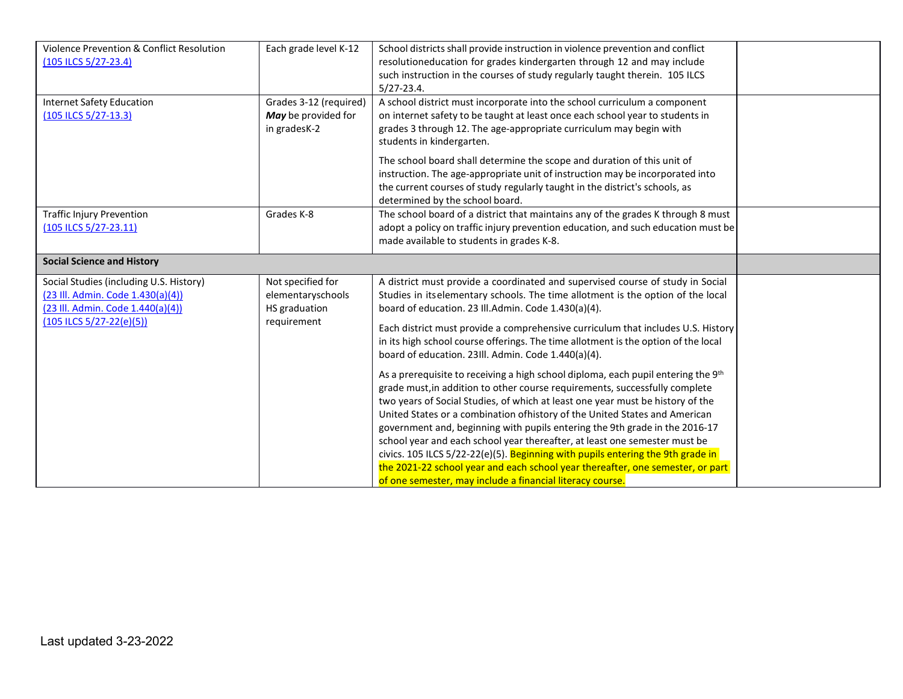| Violence Prevention & Conflict Resolution | Each grade level K-12  | School districts shall provide instruction in violence prevention and conflict     |  |
|-------------------------------------------|------------------------|------------------------------------------------------------------------------------|--|
| (105 ILCS 5/27-23.4)                      |                        | resolutioneducation for grades kindergarten through 12 and may include             |  |
|                                           |                        | such instruction in the courses of study regularly taught therein. 105 ILCS        |  |
|                                           |                        | $5/27 - 23.4$ .                                                                    |  |
| Internet Safety Education                 | Grades 3-12 (required) | A school district must incorporate into the school curriculum a component          |  |
| (105 ILCS 5/27-13.3)                      | May be provided for    | on internet safety to be taught at least once each school year to students in      |  |
|                                           | in gradesK-2           | grades 3 through 12. The age-appropriate curriculum may begin with                 |  |
|                                           |                        | students in kindergarten.                                                          |  |
|                                           |                        | The school board shall determine the scope and duration of this unit of            |  |
|                                           |                        | instruction. The age-appropriate unit of instruction may be incorporated into      |  |
|                                           |                        | the current courses of study regularly taught in the district's schools, as        |  |
|                                           |                        | determined by the school board.                                                    |  |
| <b>Traffic Injury Prevention</b>          | Grades K-8             | The school board of a district that maintains any of the grades K through 8 must   |  |
| (105 ILCS 5/27-23.11)                     |                        | adopt a policy on traffic injury prevention education, and such education must be  |  |
|                                           |                        | made available to students in grades K-8.                                          |  |
|                                           |                        |                                                                                    |  |
| <b>Social Science and History</b>         |                        |                                                                                    |  |
| Social Studies (including U.S. History)   | Not specified for      | A district must provide a coordinated and supervised course of study in Social     |  |
| (23 III. Admin. Code 1.430(a)(4))         | elementaryschools      | Studies in itselementary schools. The time allotment is the option of the local    |  |
| (23 Ill. Admin. Code 1.440(a)(4))         | HS graduation          | board of education. 23 Ill.Admin. Code 1.430(a)(4).                                |  |
| $(105$ ILCS $5/27 - 22(e)(5))$            | requirement            | Each district must provide a comprehensive curriculum that includes U.S. History   |  |
|                                           |                        | in its high school course offerings. The time allotment is the option of the local |  |
|                                           |                        | board of education. 23III. Admin. Code 1.440(a)(4).                                |  |
|                                           |                        |                                                                                    |  |
|                                           |                        | As a prerequisite to receiving a high school diploma, each pupil entering the 9th  |  |
|                                           |                        | grade must, in addition to other course requirements, successfully complete        |  |
|                                           |                        | two years of Social Studies, of which at least one year must be history of the     |  |
|                                           |                        | United States or a combination ofhistory of the United States and American         |  |
|                                           |                        | government and, beginning with pupils entering the 9th grade in the 2016-17        |  |
|                                           |                        | school year and each school year thereafter, at least one semester must be         |  |
|                                           |                        | civics. 105 ILCS 5/22-22(e)(5). Beginning with pupils entering the 9th grade in    |  |
|                                           |                        | the 2021-22 school year and each school year thereafter, one semester, or part     |  |
|                                           |                        | of one semester, may include a financial literacy course.                          |  |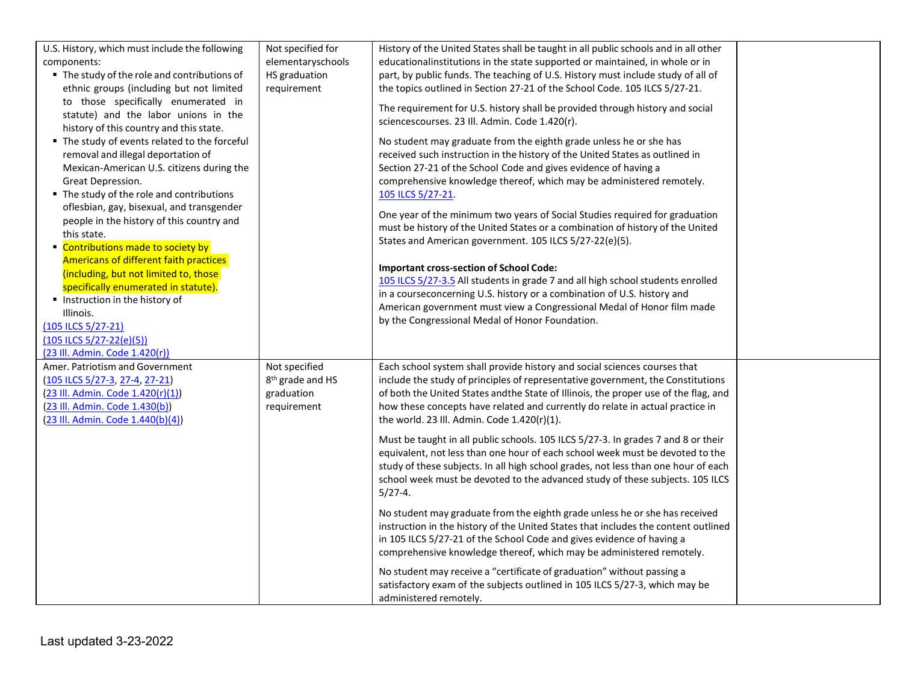| U.S. History, which must include the following<br>components:<br>■ The study of the role and contributions of<br>ethnic groups (including but not limited                                          | Not specified for<br>elementaryschools<br>HS graduation<br>requirement     | History of the United States shall be taught in all public schools and in all other<br>educationalinstitutions in the state supported or maintained, in whole or in<br>part, by public funds. The teaching of U.S. History must include study of all of<br>the topics outlined in Section 27-21 of the School Code. 105 ILCS 5/27-21.                                                |  |
|----------------------------------------------------------------------------------------------------------------------------------------------------------------------------------------------------|----------------------------------------------------------------------------|--------------------------------------------------------------------------------------------------------------------------------------------------------------------------------------------------------------------------------------------------------------------------------------------------------------------------------------------------------------------------------------|--|
| to those specifically enumerated in<br>statute) and the labor unions in the<br>history of this country and this state.                                                                             |                                                                            | The requirement for U.S. history shall be provided through history and social<br>sciencescourses. 23 Ill. Admin. Code 1.420(r).                                                                                                                                                                                                                                                      |  |
| ■ The study of events related to the forceful<br>removal and illegal deportation of<br>Mexican-American U.S. citizens during the<br>Great Depression.<br>■ The study of the role and contributions |                                                                            | No student may graduate from the eighth grade unless he or she has<br>received such instruction in the history of the United States as outlined in<br>Section 27-21 of the School Code and gives evidence of having a<br>comprehensive knowledge thereof, which may be administered remotely.<br>105 ILCS 5/27-21.                                                                   |  |
| oflesbian, gay, bisexual, and transgender<br>people in the history of this country and<br>this state.<br>Contributions made to society by                                                          |                                                                            | One year of the minimum two years of Social Studies required for graduation<br>must be history of the United States or a combination of history of the United<br>States and American government. 105 ILCS 5/27-22(e)(5).                                                                                                                                                             |  |
| Americans of different faith practices<br>(including, but not limited to, those<br>specifically enumerated in statute).<br>Instruction in the history of<br>Illinois.                              |                                                                            | <b>Important cross-section of School Code:</b><br>105 ILCS 5/27-3.5 All students in grade 7 and all high school students enrolled<br>in a courseconcerning U.S. history or a combination of U.S. history and<br>American government must view a Congressional Medal of Honor film made                                                                                               |  |
| (105 ILCS 5/27-21)<br>$(105$ ILCS $5/27 - 22(e)(5))$<br>(23 Ill. Admin. Code 1.420(r))                                                                                                             |                                                                            | by the Congressional Medal of Honor Foundation.                                                                                                                                                                                                                                                                                                                                      |  |
| Amer. Patriotism and Government<br>(105 ILCS 5/27-3, 27-4, 27-21)<br>(23 III. Admin. Code 1.420(r)(1))<br>(23 III. Admin. Code 1.430(b))<br>(23 Ill. Admin. Code 1.440(b)(4))                      | Not specified<br>8 <sup>th</sup> grade and HS<br>graduation<br>requirement | Each school system shall provide history and social sciences courses that<br>include the study of principles of representative government, the Constitutions<br>of both the United States and the State of Illinois, the proper use of the flag, and<br>how these concepts have related and currently do relate in actual practice in<br>the world. 23 III. Admin. Code 1.420(r)(1). |  |
|                                                                                                                                                                                                    |                                                                            | Must be taught in all public schools. 105 ILCS 5/27-3. In grades 7 and 8 or their<br>equivalent, not less than one hour of each school week must be devoted to the<br>study of these subjects. In all high school grades, not less than one hour of each<br>school week must be devoted to the advanced study of these subjects. 105 ILCS<br>$5/27-4.$                               |  |
|                                                                                                                                                                                                    |                                                                            | No student may graduate from the eighth grade unless he or she has received<br>instruction in the history of the United States that includes the content outlined<br>in 105 ILCS 5/27-21 of the School Code and gives evidence of having a<br>comprehensive knowledge thereof, which may be administered remotely.                                                                   |  |
|                                                                                                                                                                                                    |                                                                            | No student may receive a "certificate of graduation" without passing a<br>satisfactory exam of the subjects outlined in 105 ILCS 5/27-3, which may be<br>administered remotely.                                                                                                                                                                                                      |  |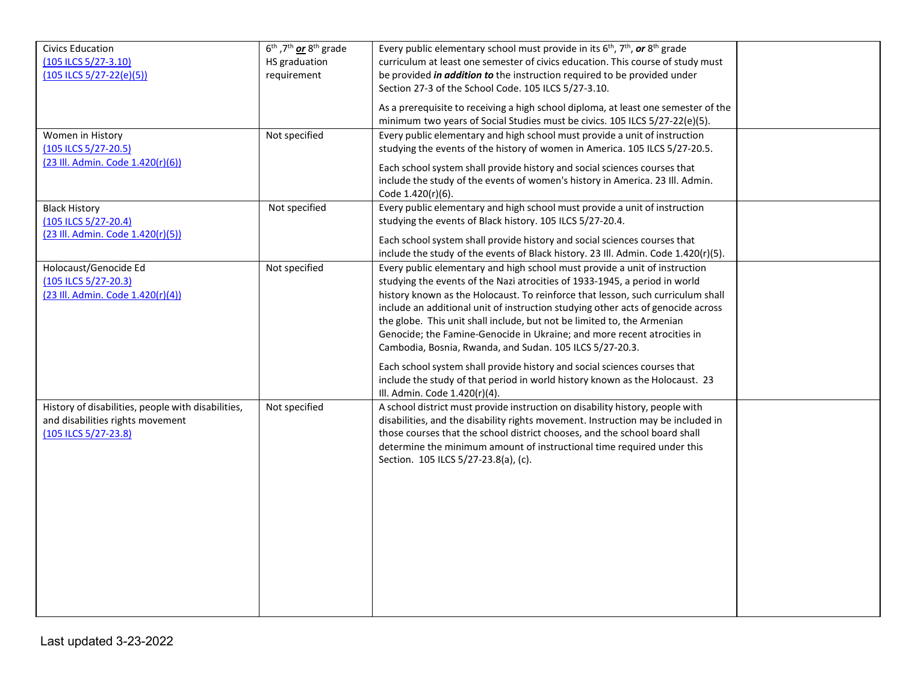| <b>Civics Education</b>                                   | 6 <sup>th</sup> , 7 <sup>th</sup> or 8 <sup>th</sup> grade | Every public elementary school must provide in its $6th$ , $7th$ , or $8th$ grade                                                                        |  |
|-----------------------------------------------------------|------------------------------------------------------------|----------------------------------------------------------------------------------------------------------------------------------------------------------|--|
| (105 ILCS 5/27-3.10)                                      | HS graduation                                              | curriculum at least one semester of civics education. This course of study must                                                                          |  |
| $(105$ ILCS $5/27 - 22(e)(5))$                            | requirement                                                | be provided <i>in addition to</i> the instruction required to be provided under                                                                          |  |
|                                                           |                                                            | Section 27-3 of the School Code. 105 ILCS 5/27-3.10.                                                                                                     |  |
|                                                           |                                                            | As a prerequisite to receiving a high school diploma, at least one semester of the                                                                       |  |
|                                                           |                                                            | minimum two years of Social Studies must be civics. 105 ILCS 5/27-22(e)(5).                                                                              |  |
| Women in History                                          | Not specified                                              | Every public elementary and high school must provide a unit of instruction                                                                               |  |
| (105 ILCS 5/27-20.5)                                      |                                                            | studying the events of the history of women in America. 105 ILCS 5/27-20.5.                                                                              |  |
| (23 III. Admin. Code 1.420(r)(6))                         |                                                            | Each school system shall provide history and social sciences courses that                                                                                |  |
|                                                           |                                                            | include the study of the events of women's history in America. 23 Ill. Admin.                                                                            |  |
|                                                           |                                                            | Code 1.420(r)(6).                                                                                                                                        |  |
| <b>Black History</b>                                      | Not specified                                              | Every public elementary and high school must provide a unit of instruction                                                                               |  |
| (105 ILCS 5/27-20.4)                                      |                                                            | studying the events of Black history. 105 ILCS 5/27-20.4.                                                                                                |  |
| (23 Ill. Admin. Code 1.420(r)(5))                         |                                                            |                                                                                                                                                          |  |
|                                                           |                                                            | Each school system shall provide history and social sciences courses that                                                                                |  |
|                                                           |                                                            | include the study of the events of Black history. 23 Ill. Admin. Code 1.420(r)(5).                                                                       |  |
| Holocaust/Genocide Ed                                     | Not specified                                              | Every public elementary and high school must provide a unit of instruction<br>studying the events of the Nazi atrocities of 1933-1945, a period in world |  |
| (105 ILCS 5/27-20.3)<br>(23 III. Admin. Code 1.420(r)(4)) |                                                            | history known as the Holocaust. To reinforce that lesson, such curriculum shall                                                                          |  |
|                                                           |                                                            | include an additional unit of instruction studying other acts of genocide across                                                                         |  |
|                                                           |                                                            | the globe. This unit shall include, but not be limited to, the Armenian                                                                                  |  |
|                                                           |                                                            | Genocide; the Famine-Genocide in Ukraine; and more recent atrocities in                                                                                  |  |
|                                                           |                                                            | Cambodia, Bosnia, Rwanda, and Sudan. 105 ILCS 5/27-20.3.                                                                                                 |  |
|                                                           |                                                            |                                                                                                                                                          |  |
|                                                           |                                                            | Each school system shall provide history and social sciences courses that                                                                                |  |
|                                                           |                                                            | include the study of that period in world history known as the Holocaust. 23<br>Ill. Admin. Code 1.420(r)(4).                                            |  |
| History of disabilities, people with disabilities,        | Not specified                                              | A school district must provide instruction on disability history, people with                                                                            |  |
| and disabilities rights movement                          |                                                            | disabilities, and the disability rights movement. Instruction may be included in                                                                         |  |
| (105 ILCS 5/27-23.8)                                      |                                                            | those courses that the school district chooses, and the school board shall                                                                               |  |
|                                                           |                                                            | determine the minimum amount of instructional time required under this                                                                                   |  |
|                                                           |                                                            | Section. 105 ILCS 5/27-23.8(a), (c).                                                                                                                     |  |
|                                                           |                                                            |                                                                                                                                                          |  |
|                                                           |                                                            |                                                                                                                                                          |  |
|                                                           |                                                            |                                                                                                                                                          |  |
|                                                           |                                                            |                                                                                                                                                          |  |
|                                                           |                                                            |                                                                                                                                                          |  |
|                                                           |                                                            |                                                                                                                                                          |  |
|                                                           |                                                            |                                                                                                                                                          |  |
|                                                           |                                                            |                                                                                                                                                          |  |
|                                                           |                                                            |                                                                                                                                                          |  |
|                                                           |                                                            |                                                                                                                                                          |  |
|                                                           |                                                            |                                                                                                                                                          |  |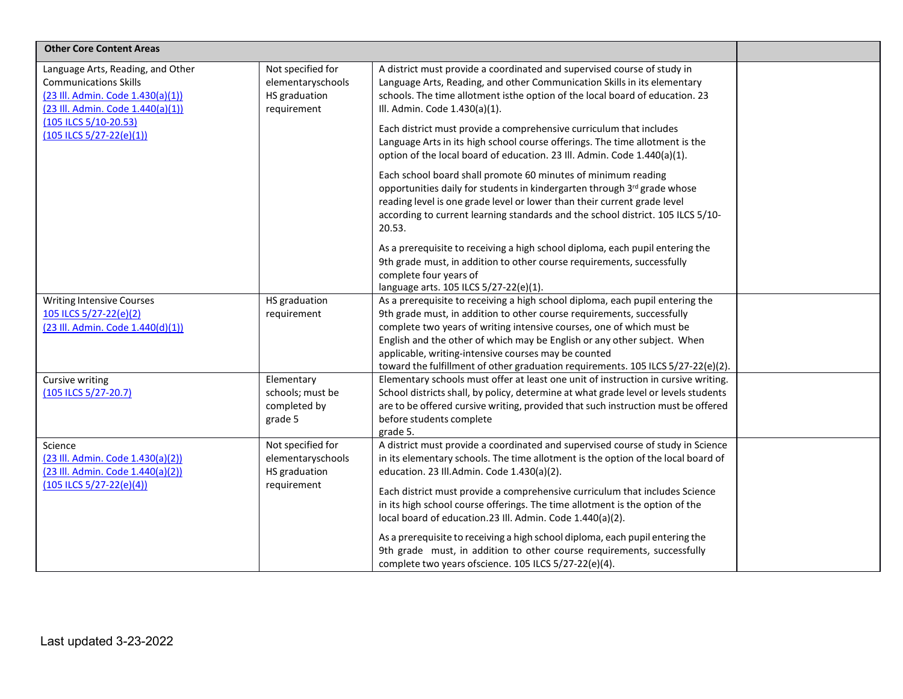| <b>Other Core Content Areas</b>                                                                                                             |                                                                        |                                                                                                                                                                                                                                                                                                                                                                                                                                                          |  |
|---------------------------------------------------------------------------------------------------------------------------------------------|------------------------------------------------------------------------|----------------------------------------------------------------------------------------------------------------------------------------------------------------------------------------------------------------------------------------------------------------------------------------------------------------------------------------------------------------------------------------------------------------------------------------------------------|--|
| Language Arts, Reading, and Other<br><b>Communications Skills</b><br>(23 III. Admin. Code 1.430(a)(1))<br>(23 III. Admin. Code 1.440(a)(1)) | Not specified for<br>elementaryschools<br>HS graduation<br>requirement | A district must provide a coordinated and supervised course of study in<br>Language Arts, Reading, and other Communication Skills in its elementary<br>schools. The time allotment isthe option of the local board of education. 23<br>Ill. Admin. Code 1.430(a)(1).                                                                                                                                                                                     |  |
| (105 ILCS 5/10-20.53)<br>$(105$ ILCS $5/27 - 22(e)(1))$                                                                                     |                                                                        | Each district must provide a comprehensive curriculum that includes<br>Language Arts in its high school course offerings. The time allotment is the<br>option of the local board of education. 23 Ill. Admin. Code 1.440(a)(1).                                                                                                                                                                                                                          |  |
|                                                                                                                                             |                                                                        | Each school board shall promote 60 minutes of minimum reading<br>opportunities daily for students in kindergarten through 3rd grade whose<br>reading level is one grade level or lower than their current grade level<br>according to current learning standards and the school district. 105 ILCS 5/10-<br>20.53.                                                                                                                                       |  |
|                                                                                                                                             |                                                                        | As a prerequisite to receiving a high school diploma, each pupil entering the<br>9th grade must, in addition to other course requirements, successfully<br>complete four years of<br>language arts. 105 ILCS 5/27-22(e)(1).                                                                                                                                                                                                                              |  |
| <b>Writing Intensive Courses</b><br>105 ILCS 5/27-22(e)(2)<br>(23 III. Admin. Code 1.440(d)(1))                                             | HS graduation<br>requirement                                           | As a prerequisite to receiving a high school diploma, each pupil entering the<br>9th grade must, in addition to other course requirements, successfully<br>complete two years of writing intensive courses, one of which must be<br>English and the other of which may be English or any other subject. When<br>applicable, writing-intensive courses may be counted<br>toward the fulfillment of other graduation requirements. 105 ILCS 5/27-22(e)(2). |  |
| <b>Cursive writing</b><br>(105 ILCS 5/27-20.7)                                                                                              | Elementary<br>schools; must be<br>completed by<br>grade 5              | Elementary schools must offer at least one unit of instruction in cursive writing.<br>School districts shall, by policy, determine at what grade level or levels students<br>are to be offered cursive writing, provided that such instruction must be offered<br>before students complete<br>grade 5.                                                                                                                                                   |  |
| Science<br>(23 Ill. Admin. Code 1.430(a)(2))<br>(23 III. Admin. Code 1.440(a)(2))<br>$(105$ ILCS $5/27 - 22(e)(4))$                         | Not specified for<br>elementaryschools<br>HS graduation<br>requirement | A district must provide a coordinated and supervised course of study in Science<br>in its elementary schools. The time allotment is the option of the local board of<br>education. 23 Ill.Admin. Code 1.430(a)(2).<br>Each district must provide a comprehensive curriculum that includes Science                                                                                                                                                        |  |
|                                                                                                                                             |                                                                        | in its high school course offerings. The time allotment is the option of the<br>local board of education.23 Ill. Admin. Code 1.440(a)(2).<br>As a prerequisite to receiving a high school diploma, each pupil entering the<br>9th grade must, in addition to other course requirements, successfully<br>complete two years ofscience. 105 ILCS 5/27-22(e)(4).                                                                                            |  |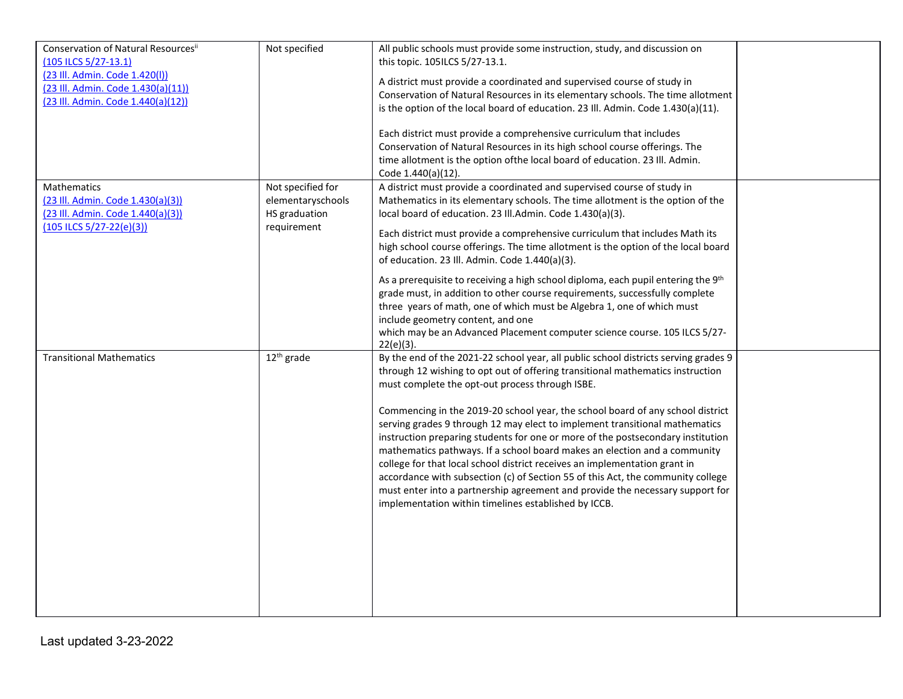| Conservation of Natural Resourcesii<br>(105 ILCS 5/27-13.1)<br>(23 Ill. Admin. Code 1.420(l))<br>(23 Ill. Admin. Code 1.430(a)(11))<br>(23 III. Admin. Code 1.440(a)(12)) | Not specified                                                          | All public schools must provide some instruction, study, and discussion on<br>this topic. 105ILCS 5/27-13.1.<br>A district must provide a coordinated and supervised course of study in<br>Conservation of Natural Resources in its elementary schools. The time allotment<br>is the option of the local board of education. 23 Ill. Admin. Code 1.430(a)(11).<br>Each district must provide a comprehensive curriculum that includes<br>Conservation of Natural Resources in its high school course offerings. The<br>time allotment is the option of the local board of education. 23 III. Admin.<br>Code 1.440(a)(12).                                                                                                                                                                                                                                           |  |
|---------------------------------------------------------------------------------------------------------------------------------------------------------------------------|------------------------------------------------------------------------|---------------------------------------------------------------------------------------------------------------------------------------------------------------------------------------------------------------------------------------------------------------------------------------------------------------------------------------------------------------------------------------------------------------------------------------------------------------------------------------------------------------------------------------------------------------------------------------------------------------------------------------------------------------------------------------------------------------------------------------------------------------------------------------------------------------------------------------------------------------------|--|
| <b>Mathematics</b><br>(23 Ill. Admin. Code 1.430(a)(3))<br>(23 Ill. Admin. Code 1.440(a)(3))<br>$(105$ ILCS $5/27 - 22(e)(3))$                                            | Not specified for<br>elementaryschools<br>HS graduation<br>requirement | A district must provide a coordinated and supervised course of study in<br>Mathematics in its elementary schools. The time allotment is the option of the<br>local board of education. 23 Ill.Admin. Code 1.430(a)(3).<br>Each district must provide a comprehensive curriculum that includes Math its<br>high school course offerings. The time allotment is the option of the local board<br>of education. 23 Ill. Admin. Code 1.440(a)(3).<br>As a prerequisite to receiving a high school diploma, each pupil entering the 9th<br>grade must, in addition to other course requirements, successfully complete<br>three years of math, one of which must be Algebra 1, one of which must<br>include geometry content, and one<br>which may be an Advanced Placement computer science course. 105 ILCS 5/27-<br>$22(e)(3)$ .                                      |  |
| <b>Transitional Mathematics</b>                                                                                                                                           | $12th$ grade                                                           | By the end of the 2021-22 school year, all public school districts serving grades 9<br>through 12 wishing to opt out of offering transitional mathematics instruction<br>must complete the opt-out process through ISBE.<br>Commencing in the 2019-20 school year, the school board of any school district<br>serving grades 9 through 12 may elect to implement transitional mathematics<br>instruction preparing students for one or more of the postsecondary institution<br>mathematics pathways. If a school board makes an election and a community<br>college for that local school district receives an implementation grant in<br>accordance with subsection (c) of Section 55 of this Act, the community college<br>must enter into a partnership agreement and provide the necessary support for<br>implementation within timelines established by ICCB. |  |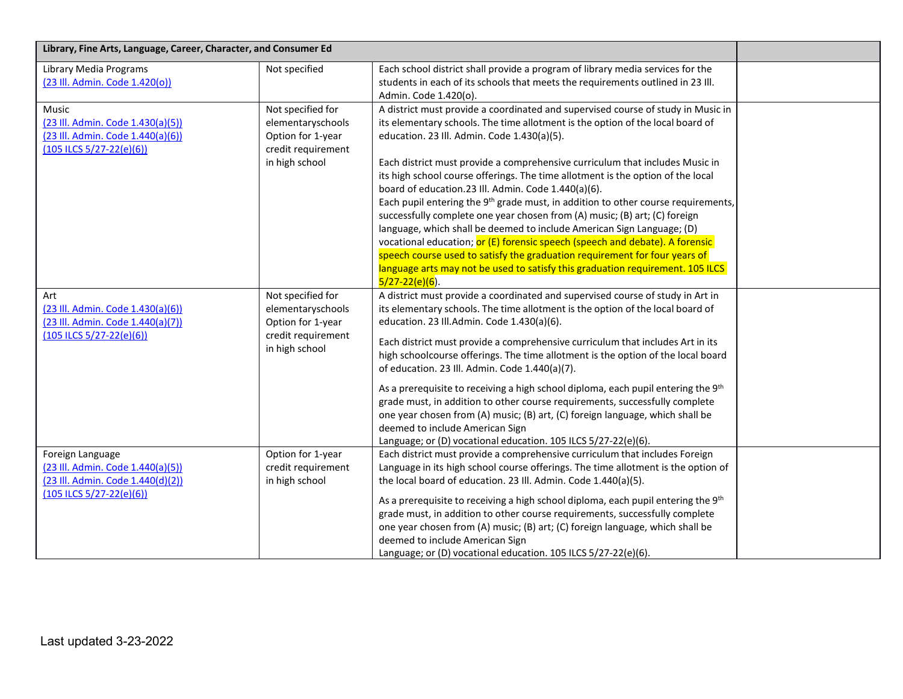| Library, Fine Arts, Language, Career, Character, and Consumer Ed                                                             |                                                                                                     |                                                                                                                                                                                                                                                                                                                                                                                                                                                                                                                                                                                                                                                                                                                                                                                                                                                                                                                                                                             |  |
|------------------------------------------------------------------------------------------------------------------------------|-----------------------------------------------------------------------------------------------------|-----------------------------------------------------------------------------------------------------------------------------------------------------------------------------------------------------------------------------------------------------------------------------------------------------------------------------------------------------------------------------------------------------------------------------------------------------------------------------------------------------------------------------------------------------------------------------------------------------------------------------------------------------------------------------------------------------------------------------------------------------------------------------------------------------------------------------------------------------------------------------------------------------------------------------------------------------------------------------|--|
| <b>Library Media Programs</b><br>(23 Ill. Admin. Code 1.420(o))                                                              | Not specified                                                                                       | Each school district shall provide a program of library media services for the<br>students in each of its schools that meets the requirements outlined in 23 III.<br>Admin. Code 1.420(o).                                                                                                                                                                                                                                                                                                                                                                                                                                                                                                                                                                                                                                                                                                                                                                                  |  |
| Music<br>(23 III. Admin. Code 1.430(a)(5))<br>(23 III. Admin. Code 1.440(a)(6))<br>$(105$ ILCS $5/27 - 22(e)(6))$            | Not specified for<br>elementaryschools<br>Option for 1-year<br>credit requirement<br>in high school | A district must provide a coordinated and supervised course of study in Music in<br>its elementary schools. The time allotment is the option of the local board of<br>education. 23 Ill. Admin. Code 1.430(a)(5).<br>Each district must provide a comprehensive curriculum that includes Music in<br>its high school course offerings. The time allotment is the option of the local<br>board of education.23 Ill. Admin. Code 1.440(a)(6).<br>Each pupil entering the 9 <sup>th</sup> grade must, in addition to other course requirements,<br>successfully complete one year chosen from (A) music; (B) art; (C) foreign<br>language, which shall be deemed to include American Sign Language; (D)<br>vocational education; or (E) forensic speech (speech and debate). A forensic<br>speech course used to satisfy the graduation requirement for four years of<br>language arts may not be used to satisfy this graduation requirement. 105 ILCS<br>$5/27 - 22(e)(6)$ . |  |
| Art<br>(23 Ill. Admin. Code 1.430(a)(6))<br>(23 III. Admin. Code 1.440(a)(7))<br>$(105$ ILCS $5/27 - 22(e)(6))$              | Not specified for<br>elementaryschools<br>Option for 1-year<br>credit requirement<br>in high school | A district must provide a coordinated and supervised course of study in Art in<br>its elementary schools. The time allotment is the option of the local board of<br>education. 23 Ill.Admin. Code 1.430(a)(6).<br>Each district must provide a comprehensive curriculum that includes Art in its<br>high schoolcourse offerings. The time allotment is the option of the local board<br>of education. 23 III. Admin. Code 1.440(a)(7).<br>As a prerequisite to receiving a high school diploma, each pupil entering the 9th<br>grade must, in addition to other course requirements, successfully complete<br>one year chosen from (A) music; (B) art, (C) foreign language, which shall be<br>deemed to include American Sign<br>Language; or (D) vocational education. 105 ILCS 5/27-22(e)(6).                                                                                                                                                                            |  |
| Foreign Language<br>(23 III. Admin. Code 1.440(a)(5))<br>(23 III. Admin. Code 1.440(d)(2))<br>$(105$ ILCS $5/27 - 22(e)(6))$ | Option for 1-year<br>credit requirement<br>in high school                                           | Each district must provide a comprehensive curriculum that includes Foreign<br>Language in its high school course offerings. The time allotment is the option of<br>the local board of education. 23 Ill. Admin. Code 1.440(a)(5).<br>As a prerequisite to receiving a high school diploma, each pupil entering the 9th<br>grade must, in addition to other course requirements, successfully complete<br>one year chosen from (A) music; (B) art; (C) foreign language, which shall be<br>deemed to include American Sign<br>Language; or (D) vocational education. 105 ILCS 5/27-22(e)(6).                                                                                                                                                                                                                                                                                                                                                                                |  |